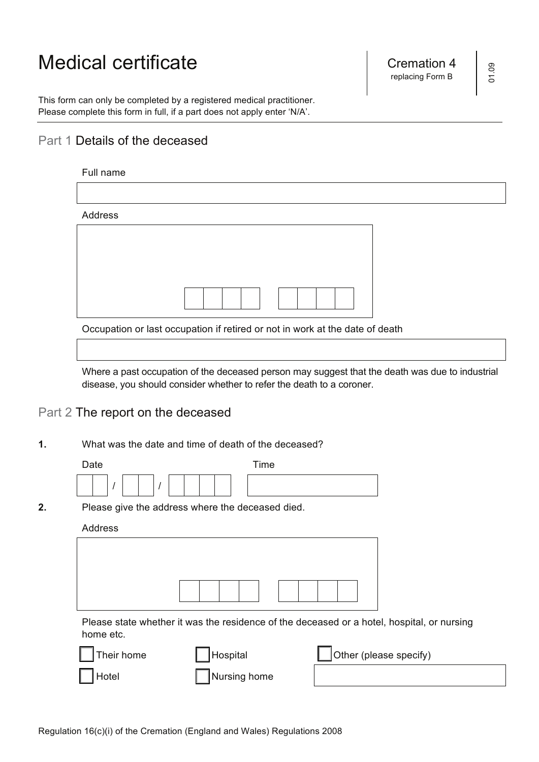# Medical certificate **Cremation 4** Cremation 4

 Please complete this form in full, if a part does not apply enter 'N/A'. This form can only be completed by a registered medical practitioner.

## Part 1 Details of the deceased

| Full name |                                                                              |
|-----------|------------------------------------------------------------------------------|
|           |                                                                              |
| Address   |                                                                              |
|           |                                                                              |
|           |                                                                              |
|           |                                                                              |
|           |                                                                              |
|           | Occupation or last occupation if retired or not in work at the date of death |
|           |                                                                              |
|           |                                                                              |

 Where a past occupation of the deceased person may suggest that the death was due to industrial disease, you should consider whether to refer the death to a coroner.

### Part 2 The report on the deceased

**1.** What was the date and time of death of the deceased?

| Date |  | Time |  |
|------|--|------|--|
|      |  |      |  |

**2.** Please give the address where the deceased died.

#### Address

|  | $\mathbf{1}$ | $\mathbb{R}^2$ |  |  |  |
|--|--------------|----------------|--|--|--|

 Please state whether it was the residence of the deceased or a hotel, hospital, or nursing home etc.

| Their home | Hospital     | Other (please specify) |
|------------|--------------|------------------------|
| Hotel      | Nursing home |                        |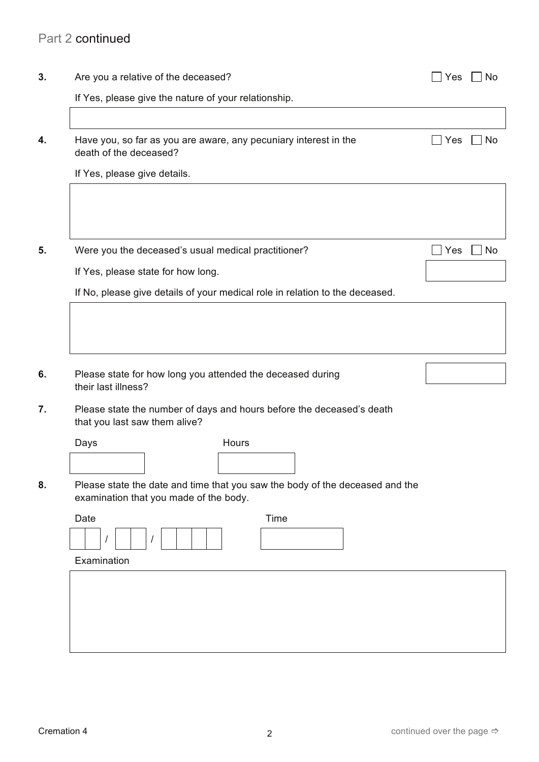|                                                      | Are you a relative of the deceased?                                                                                                        |  |     |
|------------------------------------------------------|--------------------------------------------------------------------------------------------------------------------------------------------|--|-----|
|                                                      | If Yes, please give the nature of your relationship.                                                                                       |  |     |
| death of the deceased?                               | Have you, so far as you are aware, any pecuniary interest in the                                                                           |  | Yes |
| If Yes, please give details.                         |                                                                                                                                            |  |     |
|                                                      | Were you the deceased's usual medical practitioner?                                                                                        |  | Yes |
|                                                      | If Yes, please state for how long.                                                                                                         |  |     |
|                                                      |                                                                                                                                            |  |     |
|                                                      | If No, please give details of your medical role in relation to the deceased.<br>Please state for how long you attended the deceased during |  |     |
| their last illness?<br>that you last saw them alive? | Please state the number of days and hours before the deceased's death                                                                      |  |     |
| Days                                                 | Hours                                                                                                                                      |  |     |
|                                                      |                                                                                                                                            |  |     |
|                                                      | Please state the date and time that you saw the body of the deceased and the<br>examination that you made of the body.                     |  |     |
| Date<br>$\overline{I}$                               | Time                                                                                                                                       |  |     |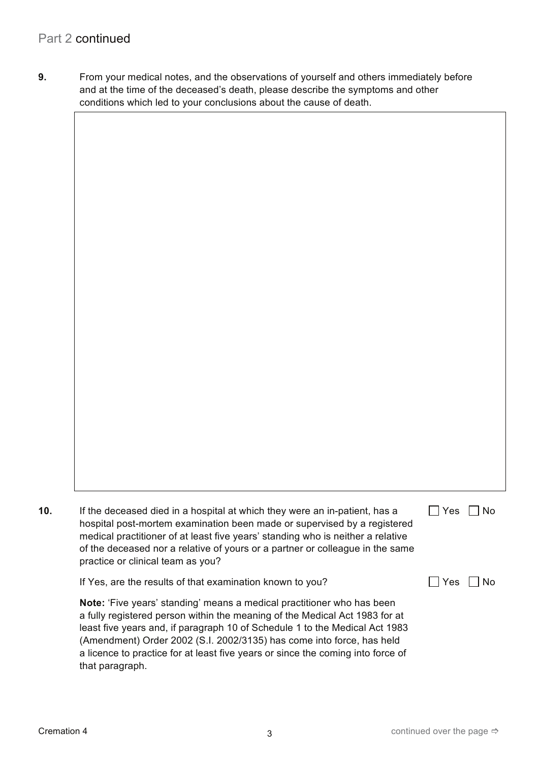**9.** From your medical notes, and the observations of yourself and others immediately before and at the time of the deceased's death, please describe the symptoms and other conditions which led to your conclusions about the cause of death.

Yes  $\Box$  No  $\Box$  Yes  $\Box$  No **Note:** 'Five years' standing' means a medical practitioner who has been a fully registered person within the meaning of the Medical Act 1983 for at least five years and, if paragraph 10 of Schedule 1 to the Medical Act 1983 a licence to practice for at least five years or since the coming into force of **10.** If the deceased died in a hospital at which they were an in-patient, has a hospital post-mortem examination been made or supervised by a registered medical practitioner of at least five years' standing who is neither a relative of the deceased nor a relative of yours or a partner or colleague in the same practice or clinical team as you? If Yes, are the results of that examination known to you? (Amendment) Order 2002 (S.I. 2002/3135) has come into force, has held that paragraph.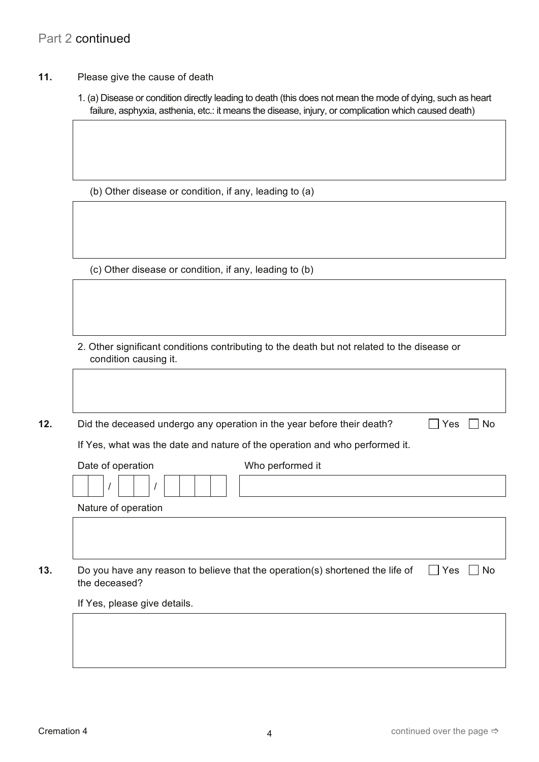# Part 2 continued

- **11.** Please give the cause of death
	- 1. (a) Disease or condition directly leading to death (this does not mean the mode of dying, such as heart failure, asphyxia, asthenia, etc.: it means the disease, injury, or complication which caused death)

(b) Other disease or condition, if any, leading to (a)

(c) Other disease or condition, if any, leading to (b)

2. Other significant conditions contributing to the death but not related to the disease or condition causing it.

**12.** Did the deceased undergo any operation in the year before their death?  $\Box$  Yes  $\Box$  No

If Yes, what was the date and nature of the operation and who performed it.

| Date of operation   | Who performed it |
|---------------------|------------------|
|                     |                  |
| Nature of operation |                  |
|                     |                  |

**13.** Do you have any reason to believe that the operation(s) shortened the life of  $\Box$  Yes  $\Box$  No the deceased?

If Yes, please give details.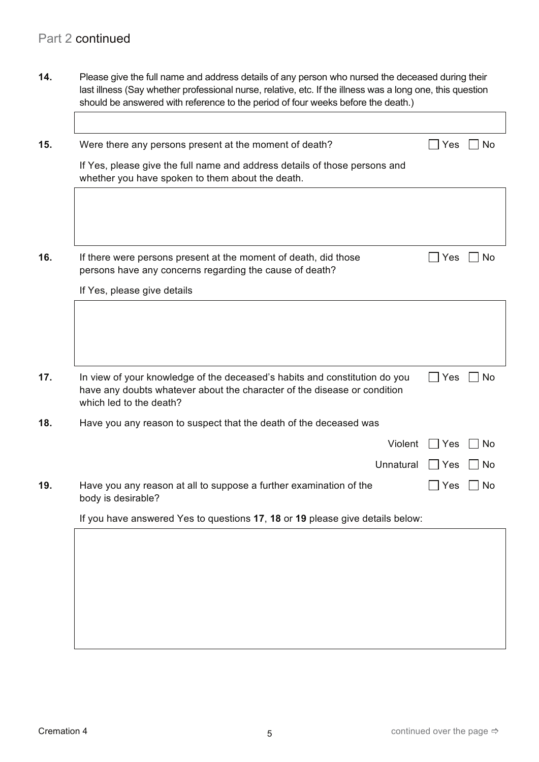**14.** Please give the full name and address details of any person who nursed the deceased during their last illness (Say whether professional nurse, relative, etc. If the illness was a long one, this question should be answered with reference to the period of four weeks before the death.)

| 15. | Were there any persons present at the moment of death?                                                                         | Yes | No        |
|-----|--------------------------------------------------------------------------------------------------------------------------------|-----|-----------|
|     | If Yes, please give the full name and address details of those persons and<br>whether you have spoken to them about the death. |     |           |
|     |                                                                                                                                |     |           |
|     |                                                                                                                                |     |           |
| 16. | If there were persons present at the moment of death, did those<br>persons have any concerns regarding the cause of death?     | Yes | No        |
|     | If Yes, please give details                                                                                                    |     |           |
| 17. | In view of your knowledge of the deceased's habits and constitution do you                                                     | Yes | <b>No</b> |
|     | have any doubts whatever about the character of the disease or condition<br>which led to the death?                            |     |           |
| 18. | Have you any reason to suspect that the death of the deceased was                                                              |     |           |
|     | Violent                                                                                                                        | Yes | No        |
|     | Unnatural                                                                                                                      | Yes | No        |
| 19. | Have you any reason at all to suppose a further examination of the<br>body is desirable?                                       | Yes | No        |
|     | If you have answered Yes to questions 17, 18 or 19 please give details below:                                                  |     |           |
|     |                                                                                                                                |     |           |
|     |                                                                                                                                |     |           |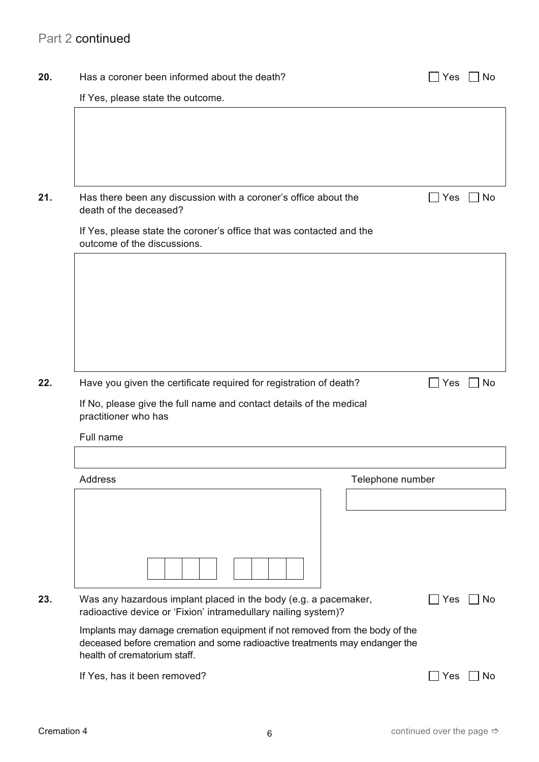# Part 2 continued

| 20. | Has a coroner been informed about the death?                                                                                                                                              | Yes        | <b>No</b> |
|-----|-------------------------------------------------------------------------------------------------------------------------------------------------------------------------------------------|------------|-----------|
|     | If Yes, please state the outcome.                                                                                                                                                         |            |           |
|     |                                                                                                                                                                                           |            |           |
|     |                                                                                                                                                                                           |            |           |
| 21. | Has there been any discussion with a coroner's office about the<br>death of the deceased?                                                                                                 | Yes        | No        |
|     | If Yes, please state the coroner's office that was contacted and the<br>outcome of the discussions.                                                                                       |            |           |
|     |                                                                                                                                                                                           |            |           |
|     |                                                                                                                                                                                           |            |           |
|     |                                                                                                                                                                                           |            |           |
|     |                                                                                                                                                                                           |            |           |
| 22. | Have you given the certificate required for registration of death?                                                                                                                        | $\Box$ Yes | No        |
|     | If No, please give the full name and contact details of the medical<br>practitioner who has                                                                                               |            |           |
|     | Full name                                                                                                                                                                                 |            |           |
|     |                                                                                                                                                                                           |            |           |
|     | Address<br>Telephone number                                                                                                                                                               |            |           |
|     |                                                                                                                                                                                           |            |           |
|     |                                                                                                                                                                                           |            |           |
|     |                                                                                                                                                                                           |            |           |
| 23. | Was any hazardous implant placed in the body (e.g. a pacemaker,<br>radioactive device or 'Fixion' intramedullary nailing system)?                                                         | Yes        | No        |
|     | Implants may damage cremation equipment if not removed from the body of the<br>deceased before cremation and some radioactive treatments may endanger the<br>health of crematorium staff. |            |           |
|     | If Yes, has it been removed?                                                                                                                                                              | Yes        | No        |